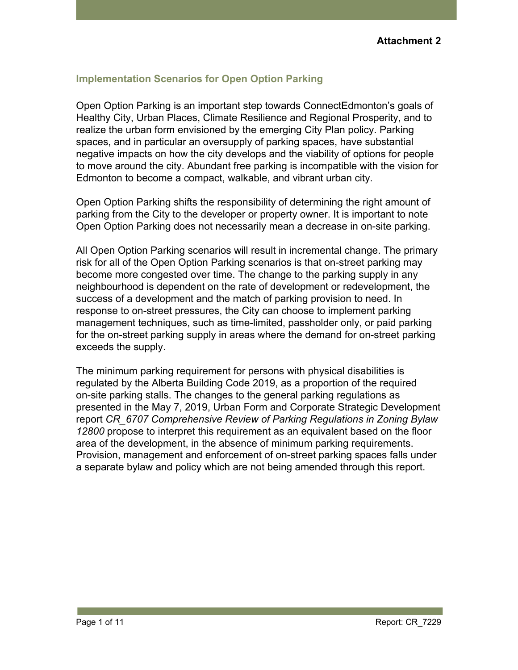# **Implementation Scenarios for Open Option Parking**

Open Option Parking is an important step towards ConnectEdmonton's goals of Healthy City, Urban Places, Climate Resilience and Regional Prosperity, and to realize the urban form envisioned by the emerging City Plan policy. Parking spaces, and in particular an oversupply of parking spaces, have substantial negative impacts on how the city develops and the viability of options for people to move around the city. Abundant free parking is incompatible with the vision for Edmonton to become a compact, walkable, and vibrant urban city.

Open Option Parking shifts the responsibility of determining the right amount of parking from the City to the developer or property owner. It is important to note Open Option Parking does not necessarily mean a decrease in on-site parking.

All Open Option Parking scenarios will result in incremental change. The primary risk for all of the Open Option Parking scenarios is that on-street parking may become more congested over time. The change to the parking supply in any neighbourhood is dependent on the rate of development or redevelopment, the success of a development and the match of parking provision to need. In response to on-street pressures, the City can choose to implement parking management techniques, such as time-limited, passholder only, or paid parking for the on-street parking supply in areas where the demand for on-street parking exceeds the supply.

The minimum parking requirement for persons with physical disabilities is regulated by the Alberta Building Code 2019, as a proportion of the required on-site parking stalls. The changes to the general parking regulations as presented in the May 7, 2019, Urban Form and Corporate Strategic Development report *CR\_6707 Comprehensive Review of Parking Regulations in Zoning Bylaw 12800* propose to interpret this requirement as an equivalent based on the floor area of the development, in the absence of minimum parking requirements. Provision, management and enforcement of on-street parking spaces falls under a separate bylaw and policy which are not being amended through this report.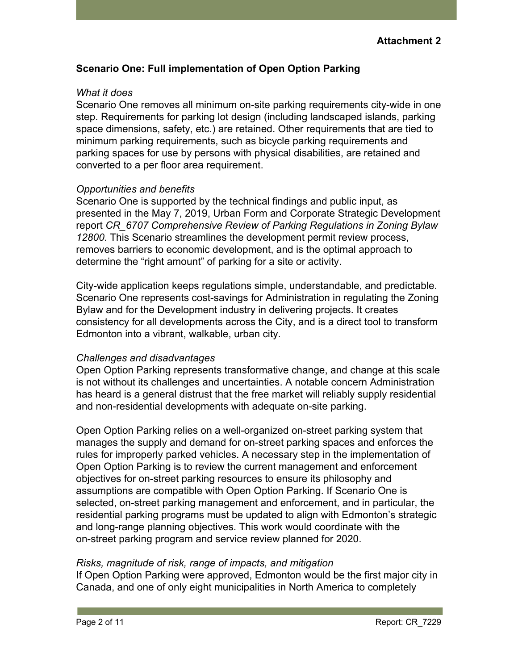# **Scenario One: Full implementation of Open Option Parking**

### *What it does*

Scenario One removes all minimum on-site parking requirements city-wide in one step. Requirements for parking lot design (including landscaped islands, parking space dimensions, safety, etc.) are retained. Other requirements that are tied to minimum parking requirements, such as bicycle parking requirements and parking spaces for use by persons with physical disabilities, are retained and converted to a per floor area requirement.

### *Opportunities and benefits*

Scenario One is supported by the technical findings and public input, as presented in the May 7, 2019, Urban Form and Corporate Strategic Development report *CR\_6707 Comprehensive Review of Parking Regulations in Zoning Bylaw 12800*. This Scenario streamlines the development permit review process, removes barriers to economic development, and is the optimal approach to determine the "right amount" of parking for a site or activity.

City-wide application keeps regulations simple, understandable, and predictable. Scenario One represents cost-savings for Administration in regulating the Zoning Bylaw and for the Development industry in delivering projects. It creates consistency for all developments across the City, and is a direct tool to transform Edmonton into a vibrant, walkable, urban city.

# *Challenges and disadvantages*

Open Option Parking represents transformative change, and change at this scale is not without its challenges and uncertainties. A notable concern Administration has heard is a general distrust that the free market will reliably supply residential and non-residential developments with adequate on-site parking.

Open Option Parking relies on a well-organized on-street parking system that manages the supply and demand for on-street parking spaces and enforces the rules for improperly parked vehicles. A necessary step in the implementation of Open Option Parking is to review the current management and enforcement objectives for on-street parking resources to ensure its philosophy and assumptions are compatible with Open Option Parking. If Scenario One is selected, on-street parking management and enforcement, and in particular, the residential parking programs must be updated to align with Edmonton's strategic and long-range planning objectives. This work would coordinate with the on-street parking program and service review planned for 2020.

# *Risks, magnitude of risk, range of impacts, and mitigation*

If Open Option Parking were approved, Edmonton would be the first major city in Canada, and one of only eight municipalities in North America to completely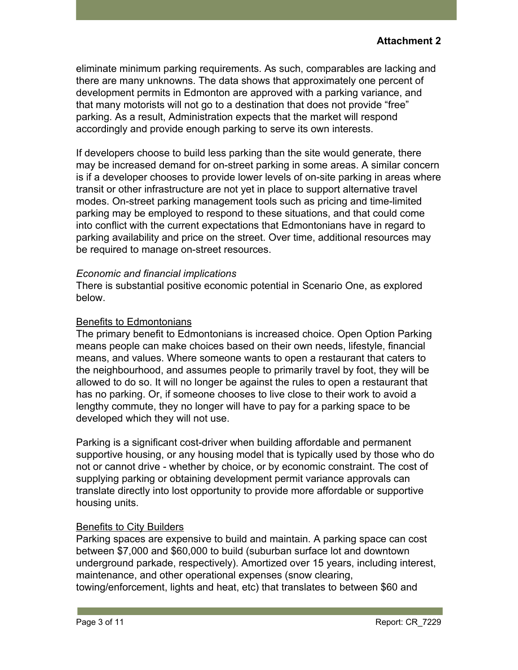eliminate minimum parking requirements. As such, comparables are lacking and there are many unknowns. The data shows that approximately one percent of development permits in Edmonton are approved with a parking variance, and that many motorists will not go to a destination that does not provide "free" parking. As a result, Administration expects that the market will respond accordingly and provide enough parking to serve its own interests.

If developers choose to build less parking than the site would generate, there may be increased demand for on-street parking in some areas. A similar concern is if a developer chooses to provide lower levels of on-site parking in areas where transit or other infrastructure are not yet in place to support alternative travel modes. On-street parking management tools such as pricing and time-limited parking may be employed to respond to these situations, and that could come into conflict with the current expectations that Edmontonians have in regard to parking availability and price on the street. Over time, additional resources may be required to manage on-street resources.

# *Economic and financial implications*

There is substantial positive economic potential in Scenario One, as explored below.

### Benefits to Edmontonians

The primary benefit to Edmontonians is increased choice. Open Option Parking means people can make choices based on their own needs, lifestyle, financial means, and values. Where someone wants to open a restaurant that caters to the neighbourhood, and assumes people to primarily travel by foot, they will be allowed to do so. It will no longer be against the rules to open a restaurant that has no parking. Or, if someone chooses to live close to their work to avoid a lengthy commute, they no longer will have to pay for a parking space to be developed which they will not use.

Parking is a significant cost-driver when building affordable and permanent supportive housing, or any housing model that is typically used by those who do not or cannot drive - whether by choice, or by economic constraint. The cost of supplying parking or obtaining development permit variance approvals can translate directly into lost opportunity to provide more affordable or supportive housing units.

# Benefits to City Builders

Parking spaces are expensive to build and maintain. A parking space can cost between \$7,000 and \$60,000 to build (suburban surface lot and downtown underground parkade, respectively). Amortized over 15 years, including interest, maintenance, and other operational expenses (snow clearing, towing/enforcement, lights and heat, etc) that translates to between \$60 and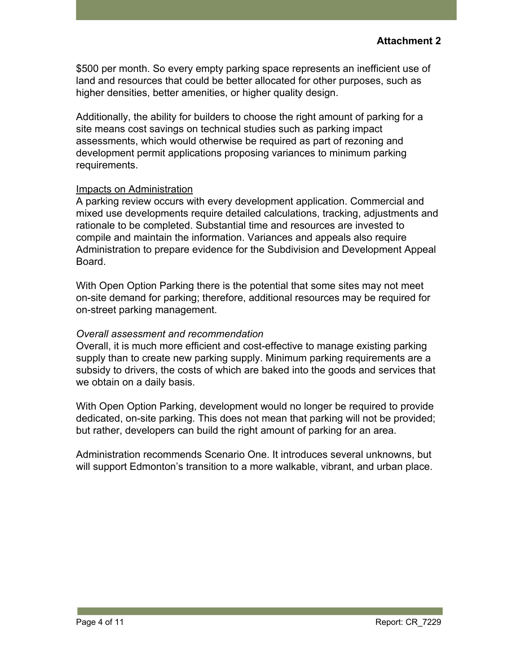\$500 per month. So every empty parking space represents an inefficient use of land and resources that could be better allocated for other purposes, such as higher densities, better amenities, or higher quality design.

Additionally, the ability for builders to choose the right amount of parking for a site means cost savings on technical studies such as parking impact assessments, which would otherwise be required as part of rezoning and development permit applications proposing variances to minimum parking requirements.

### Impacts on Administration

A parking review occurs with every development application. Commercial and mixed use developments require detailed calculations, tracking, adjustments and rationale to be completed. Substantial time and resources are invested to compile and maintain the information. Variances and appeals also require Administration to prepare evidence for the Subdivision and Development Appeal Board.

With Open Option Parking there is the potential that some sites may not meet on-site demand for parking; therefore, additional resources may be required for on-street parking management.

### *Overall assessment and recommendation*

Overall, it is much more efficient and cost-effective to manage existing parking supply than to create new parking supply. Minimum parking requirements are a subsidy to drivers, the costs of which are baked into the goods and services that we obtain on a daily basis.

With Open Option Parking, development would no longer be required to provide dedicated, on-site parking. This does not mean that parking will not be provided; but rather, developers can build the right amount of parking for an area.

Administration recommends Scenario One. It introduces several unknowns, but will support Edmonton's transition to a more walkable, vibrant, and urban place.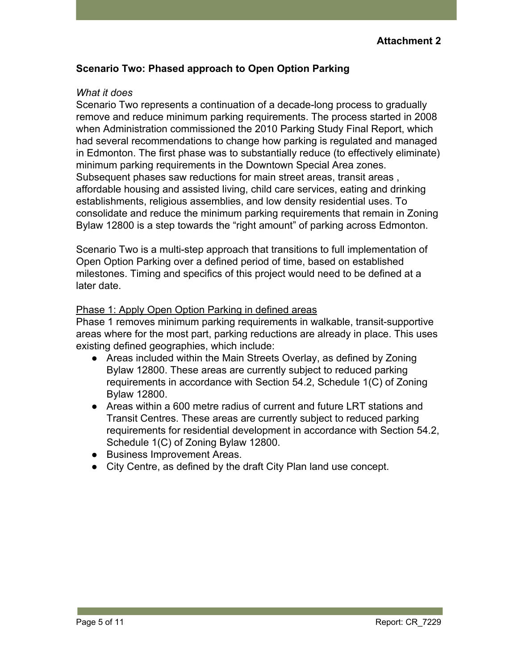# **Scenario Two: Phased approach to Open Option Parking**

### *What it does*

Scenario Two represents a continuation of a decade-long process to gradually remove and reduce minimum parking requirements. The process started in 2008 when Administration commissioned the 2010 Parking Study Final Report, which had several recommendations to change how parking is regulated and managed in Edmonton. The first phase was to substantially reduce (to effectively eliminate) minimum parking requirements in the Downtown Special Area zones. Subsequent phases saw reductions for main street areas, transit areas , affordable housing and assisted living, child care services, eating and drinking establishments, religious assemblies, and low density residential uses. To consolidate and reduce the minimum parking requirements that remain in Zoning Bylaw 12800 is a step towards the "right amount" of parking across Edmonton.

Scenario Two is a multi-step approach that transitions to full implementation of Open Option Parking over a defined period of time, based on established milestones. Timing and specifics of this project would need to be defined at a later date.

### Phase 1: Apply Open Option Parking in defined areas

Phase 1 removes minimum parking requirements in walkable, transit-supportive areas where for the most part, parking reductions are already in place. This uses existing defined geographies, which include:

- Areas included within the Main Streets Overlay, as defined by Zoning Bylaw 12800. These areas are currently subject to reduced parking requirements in accordance with Section 54.2, Schedule 1(C) of Zoning Bylaw 12800.
- Areas within a 600 metre radius of current and future LRT stations and Transit Centres. These areas are currently subject to reduced parking requirements for residential development in accordance with Section 54.2, Schedule 1(C) of Zoning Bylaw 12800.
- Business Improvement Areas.
- City Centre, as defined by the draft City Plan land use concept.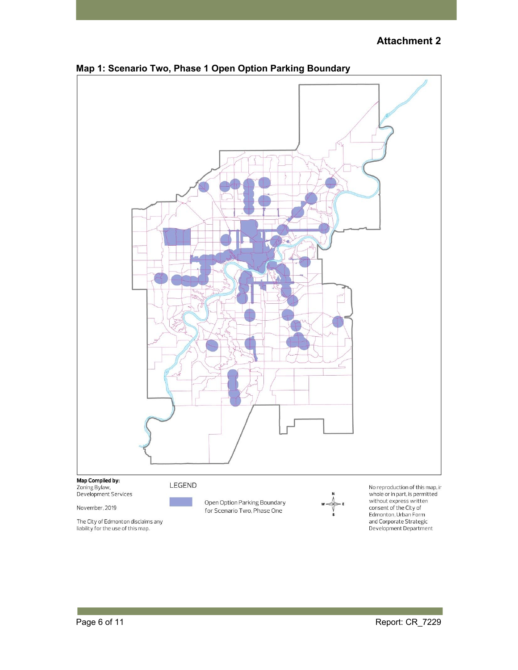# **Attachment 2**



### **Map 1: Scenario Two, Phase 1 Open Option Parking Boundary**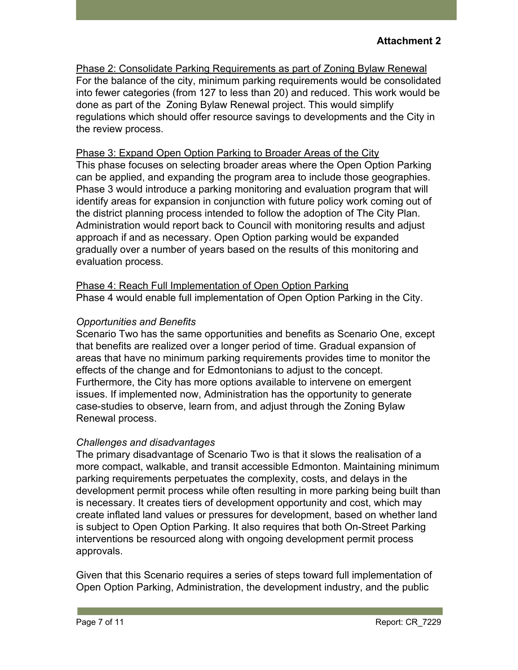Phase 2: Consolidate Parking Requirements as part of Zoning Bylaw Renewal For the balance of the city, minimum parking requirements would be consolidated into fewer categories (from 127 to less than 20) and reduced. This work would be done as part of the Zoning Bylaw Renewal project. This would simplify regulations which should offer resource savings to developments and the City in the review process.

Phase 3: Expand Open Option Parking to Broader Areas of the City This phase focuses on selecting broader areas where the Open Option Parking can be applied, and expanding the program area to include those geographies. Phase 3 would introduce a parking monitoring and evaluation program that will identify areas for expansion in conjunction with future policy work coming out of the district planning process intended to follow the adoption of The City Plan. Administration would report back to Council with monitoring results and adjust approach if and as necessary. Open Option parking would be expanded gradually over a number of years based on the results of this monitoring and evaluation process.

Phase 4: Reach Full Implementation of Open Option Parking Phase 4 would enable full implementation of Open Option Parking in the City.

# *Opportunities and Benefits*

Scenario Two has the same opportunities and benefits as Scenario One, except that benefits are realized over a longer period of time. Gradual expansion of areas that have no minimum parking requirements provides time to monitor the effects of the change and for Edmontonians to adjust to the concept. Furthermore, the City has more options available to intervene on emergent issues. If implemented now, Administration has the opportunity to generate case-studies to observe, learn from, and adjust through the Zoning Bylaw Renewal process.

# *Challenges and disadvantages*

The primary disadvantage of Scenario Two is that it slows the realisation of a more compact, walkable, and transit accessible Edmonton. Maintaining minimum parking requirements perpetuates the complexity, costs, and delays in the development permit process while often resulting in more parking being built than is necessary. It creates tiers of development opportunity and cost, which may create inflated land values or pressures for development, based on whether land is subject to Open Option Parking. It also requires that both On-Street Parking interventions be resourced along with ongoing development permit process approvals.

Given that this Scenario requires a series of steps toward full implementation of Open Option Parking, Administration, the development industry, and the public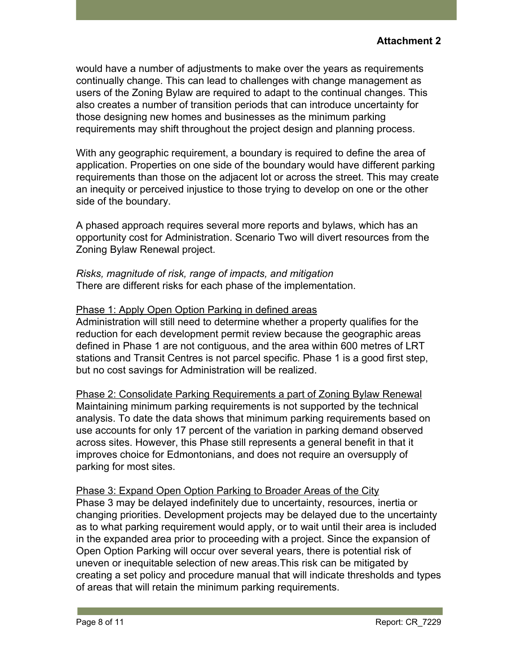would have a number of adjustments to make over the years as requirements continually change. This can lead to challenges with change management as users of the Zoning Bylaw are required to adapt to the continual changes. This also creates a number of transition periods that can introduce uncertainty for those designing new homes and businesses as the minimum parking requirements may shift throughout the project design and planning process.

With any geographic requirement, a boundary is required to define the area of application. Properties on one side of the boundary would have different parking requirements than those on the adjacent lot or across the street. This may create an inequity or perceived injustice to those trying to develop on one or the other side of the boundary.

A phased approach requires several more reports and bylaws, which has an opportunity cost for Administration. Scenario Two will divert resources from the Zoning Bylaw Renewal project.

*Risks, magnitude of risk, range of impacts, and mitigation* There are different risks for each phase of the implementation.

# Phase 1: Apply Open Option Parking in defined areas

Administration will still need to determine whether a property qualifies for the reduction for each development permit review because the geographic areas defined in Phase 1 are not contiguous, and the area within 600 metres of LRT stations and Transit Centres is not parcel specific. Phase 1 is a good first step, but no cost savings for Administration will be realized.

Phase 2: Consolidate Parking Requirements a part of Zoning Bylaw Renewal Maintaining minimum parking requirements is not supported by the technical analysis. To date the data shows that minimum parking requirements based on use accounts for only 17 percent of the variation in parking demand observed across sites. However, this Phase still represents a general benefit in that it improves choice for Edmontonians, and does not require an oversupply of parking for most sites.

Phase 3: Expand Open Option Parking to Broader Areas of the City Phase 3 may be delayed indefinitely due to uncertainty, resources, inertia or changing priorities. Development projects may be delayed due to the uncertainty as to what parking requirement would apply, or to wait until their area is included in the expanded area prior to proceeding with a project. Since the expansion of Open Option Parking will occur over several years, there is potential risk of uneven or inequitable selection of new areas.This risk can be mitigated by creating a set policy and procedure manual that will indicate thresholds and types of areas that will retain the minimum parking requirements.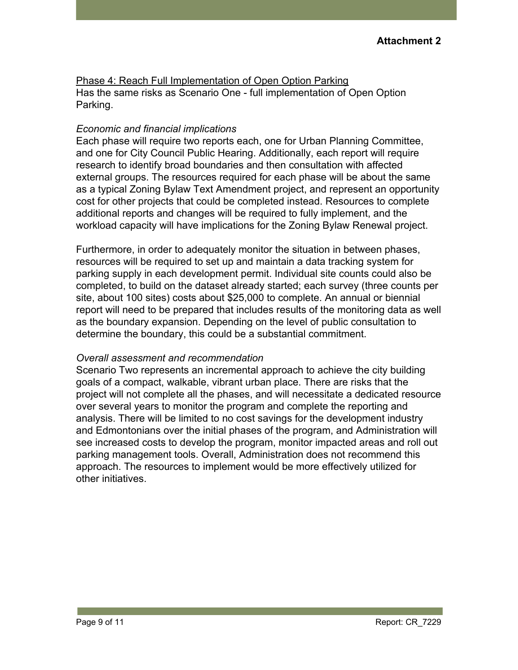Phase 4: Reach Full Implementation of Open Option Parking Has the same risks as Scenario One - full implementation of Open Option Parking.

# *Economic and financial implications*

Each phase will require two reports each, one for Urban Planning Committee, and one for City Council Public Hearing. Additionally, each report will require research to identify broad boundaries and then consultation with affected external groups. The resources required for each phase will be about the same as a typical Zoning Bylaw Text Amendment project, and represent an opportunity cost for other projects that could be completed instead. Resources to complete additional reports and changes will be required to fully implement, and the workload capacity will have implications for the Zoning Bylaw Renewal project.

Furthermore, in order to adequately monitor the situation in between phases, resources will be required to set up and maintain a data tracking system for parking supply in each development permit. Individual site counts could also be completed, to build on the dataset already started; each survey (three counts per site, about 100 sites) costs about \$25,000 to complete. An annual or biennial report will need to be prepared that includes results of the monitoring data as well as the boundary expansion. Depending on the level of public consultation to determine the boundary, this could be a substantial commitment.

# *Overall assessment and recommendation*

Scenario Two represents an incremental approach to achieve the city building goals of a compact, walkable, vibrant urban place. There are risks that the project will not complete all the phases, and will necessitate a dedicated resource over several years to monitor the program and complete the reporting and analysis. There will be limited to no cost savings for the development industry and Edmontonians over the initial phases of the program, and Administration will see increased costs to develop the program, monitor impacted areas and roll out parking management tools. Overall, Administration does not recommend this approach. The resources to implement would be more effectively utilized for other initiatives.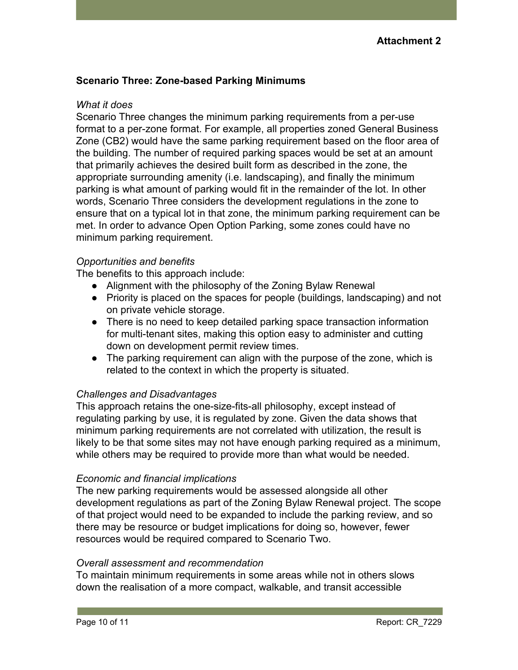# **Scenario Three: Zone-based Parking Minimums**

#### *What it does*

Scenario Three changes the minimum parking requirements from a per-use format to a per-zone format. For example, all properties zoned General Business Zone (CB2) would have the same parking requirement based on the floor area of the building. The number of required parking spaces would be set at an amount that primarily achieves the desired built form as described in the zone, the appropriate surrounding amenity (i.e. landscaping), and finally the minimum parking is what amount of parking would fit in the remainder of the lot. In other words, Scenario Three considers the development regulations in the zone to ensure that on a typical lot in that zone, the minimum parking requirement can be met. In order to advance Open Option Parking, some zones could have no minimum parking requirement.

# *Opportunities and benefits*

The benefits to this approach include:

- Alignment with the philosophy of the Zoning Bylaw Renewal
- Priority is placed on the spaces for people (buildings, landscaping) and not on private vehicle storage.
- There is no need to keep detailed parking space transaction information for multi-tenant sites, making this option easy to administer and cutting down on development permit review times.
- The parking requirement can align with the purpose of the zone, which is related to the context in which the property is situated.

# *Challenges and Disadvantages*

This approach retains the one-size-fits-all philosophy, except instead of regulating parking by use, it is regulated by zone. Given the data shows that minimum parking requirements are not correlated with utilization, the result is likely to be that some sites may not have enough parking required as a minimum, while others may be required to provide more than what would be needed.

# *Economic and financial implications*

The new parking requirements would be assessed alongside all other development regulations as part of the Zoning Bylaw Renewal project. The scope of that project would need to be expanded to include the parking review, and so there may be resource or budget implications for doing so, however, fewer resources would be required compared to Scenario Two.

#### *Overall assessment and recommendation*

To maintain minimum requirements in some areas while not in others slows down the realisation of a more compact, walkable, and transit accessible